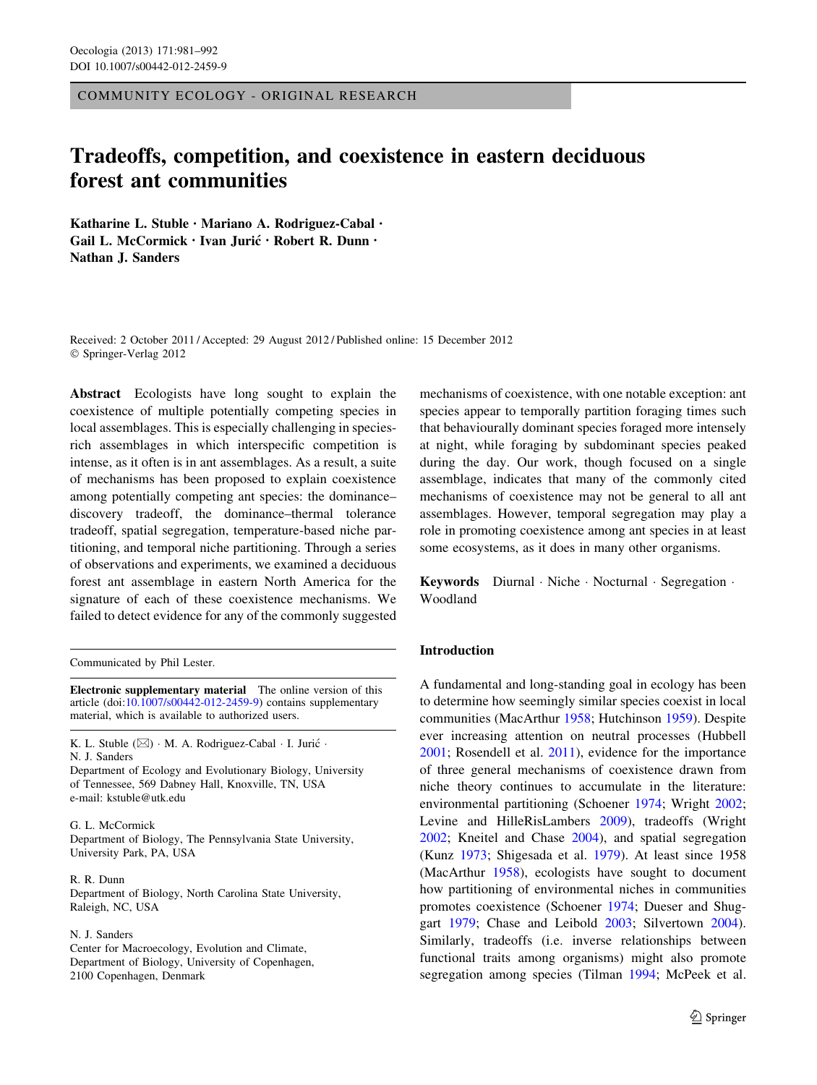COMMUNITY ECOLOGY - ORIGINAL RESEARCH

# Tradeoffs, competition, and coexistence in eastern deciduous forest ant communities

Katharine L. Stuble • Mariano A. Rodriguez-Cabal • Gail L. McCormick · Ivan Jurić · Robert R. Dunn · Nathan J. Sanders

Received: 2 October 2011 / Accepted: 29 August 2012 / Published online: 15 December 2012 © Springer-Verlag 2012

Abstract Ecologists have long sought to explain the coexistence of multiple potentially competing species in local assemblages. This is especially challenging in speciesrich assemblages in which interspecific competition is intense, as it often is in ant assemblages. As a result, a suite of mechanisms has been proposed to explain coexistence among potentially competing ant species: the dominance– discovery tradeoff, the dominance–thermal tolerance tradeoff, spatial segregation, temperature-based niche partitioning, and temporal niche partitioning. Through a series of observations and experiments, we examined a deciduous forest ant assemblage in eastern North America for the signature of each of these coexistence mechanisms. We failed to detect evidence for any of the commonly suggested

Communicated by Phil Lester.

Electronic supplementary material The online version of this article (doi:[10.1007/s00442-012-2459-9\)](http://dx.doi.org/10.1007/s00442-012-2459-9) contains supplementary material, which is available to authorized users.

K. L. Stuble  $(\boxtimes) \cdot M$ . A. Rodriguez-Cabal  $\cdot I$ . Jurić  $\cdot$ N. J. Sanders

Department of Ecology and Evolutionary Biology, University of Tennessee, 569 Dabney Hall, Knoxville, TN, USA e-mail: kstuble@utk.edu

## G. L. McCormick

Department of Biology, The Pennsylvania State University, University Park, PA, USA

#### R. R. Dunn

Department of Biology, North Carolina State University, Raleigh, NC, USA

## N. J. Sanders

Center for Macroecology, Evolution and Climate, Department of Biology, University of Copenhagen, 2100 Copenhagen, Denmark

mechanisms of coexistence, with one notable exception: ant species appear to temporally partition foraging times such that behaviourally dominant species foraged more intensely at night, while foraging by subdominant species peaked during the day. Our work, though focused on a single assemblage, indicates that many of the commonly cited mechanisms of coexistence may not be general to all ant assemblages. However, temporal segregation may play a role in promoting coexistence among ant species in at least some ecosystems, as it does in many other organisms.

Keywords Diurnal · Niche · Nocturnal · Segregation · Woodland

## Introduction

A fundamental and long-standing goal in ecology has been to determine how seemingly similar species coexist in local communities (MacArthur [1958;](#page-10-0) Hutchinson [1959](#page-10-0)). Despite ever increasing attention on neutral processes (Hubbell [2001](#page-10-0); Rosendell et al. [2011\)](#page-11-0), evidence for the importance of three general mechanisms of coexistence drawn from niche theory continues to accumulate in the literature: environmental partitioning (Schoener [1974;](#page-11-0) Wright [2002](#page-11-0); Levine and HilleRisLambers [2009](#page-10-0)), tradeoffs (Wright [2002](#page-11-0); Kneitel and Chase [2004\)](#page-10-0), and spatial segregation (Kunz [1973](#page-10-0); Shigesada et al. [1979\)](#page-11-0). At least since 1958 (MacArthur [1958](#page-10-0)), ecologists have sought to document how partitioning of environmental niches in communities promotes coexistence (Schoener [1974;](#page-11-0) Dueser and Shuggart [1979](#page-10-0); Chase and Leibold [2003](#page-10-0); Silvertown [2004](#page-11-0)). Similarly, tradeoffs (i.e. inverse relationships between functional traits among organisms) might also promote segregation among species (Tilman [1994](#page-11-0); McPeek et al.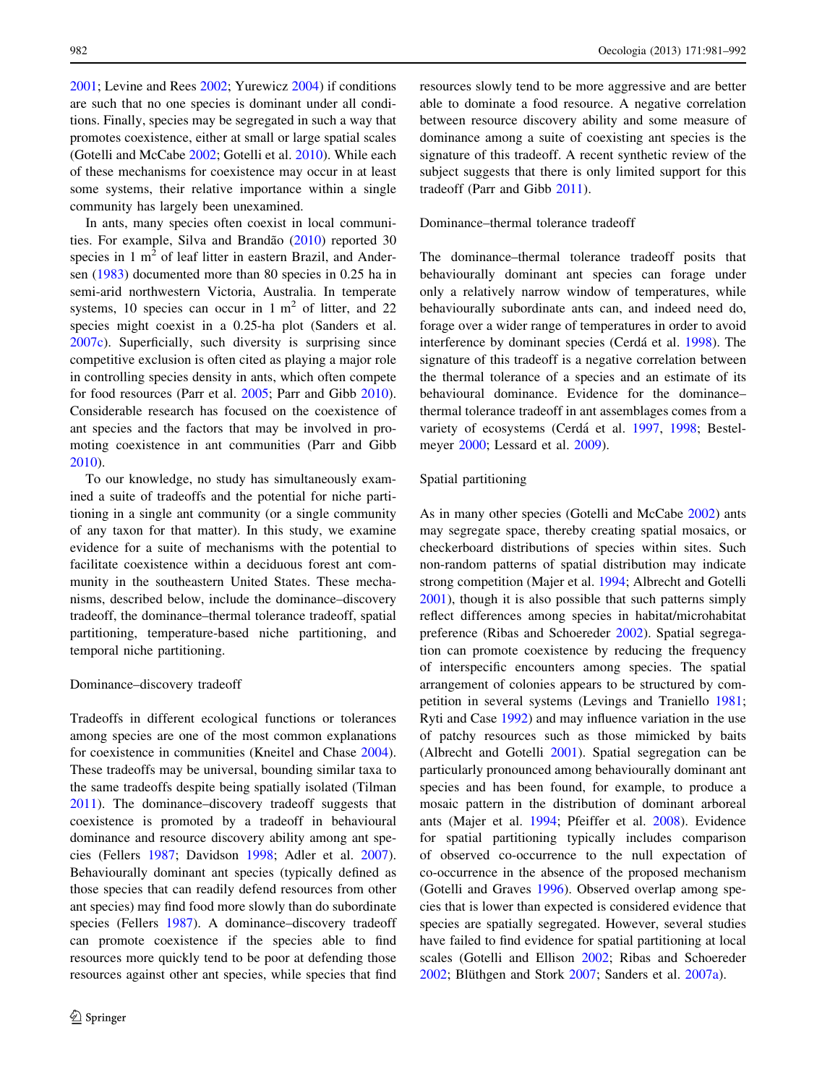[2001;](#page-10-0) Levine and Rees [2002;](#page-10-0) Yurewicz [2004\)](#page-11-0) if conditions are such that no one species is dominant under all conditions. Finally, species may be segregated in such a way that promotes coexistence, either at small or large spatial scales (Gotelli and McCabe [2002;](#page-10-0) Gotelli et al. [2010](#page-10-0)). While each of these mechanisms for coexistence may occur in at least some systems, their relative importance within a single community has largely been unexamined.

In ants, many species often coexist in local communities. For example, Silva and Brandão  $(2010)$  $(2010)$  reported 30 species in  $1 \text{ m}^2$  of leaf litter in eastern Brazil, and Andersen ([1983\)](#page-9-0) documented more than 80 species in 0.25 ha in semi-arid northwestern Victoria, Australia. In temperate systems, 10 species can occur in  $1 \text{ m}^2$  of litter, and 22 species might coexist in a 0.25-ha plot (Sanders et al. [2007c](#page-11-0)). Superficially, such diversity is surprising since competitive exclusion is often cited as playing a major role in controlling species density in ants, which often compete for food resources (Parr et al. [2005;](#page-10-0) Parr and Gibb [2010](#page-10-0)). Considerable research has focused on the coexistence of ant species and the factors that may be involved in promoting coexistence in ant communities (Parr and Gibb [2010\)](#page-10-0).

To our knowledge, no study has simultaneously examined a suite of tradeoffs and the potential for niche partitioning in a single ant community (or a single community of any taxon for that matter). In this study, we examine evidence for a suite of mechanisms with the potential to facilitate coexistence within a deciduous forest ant community in the southeastern United States. These mechanisms, described below, include the dominance–discovery tradeoff, the dominance–thermal tolerance tradeoff, spatial partitioning, temperature-based niche partitioning, and temporal niche partitioning.

# Dominance–discovery tradeoff

Tradeoffs in different ecological functions or tolerances among species are one of the most common explanations for coexistence in communities (Kneitel and Chase [2004](#page-10-0)). These tradeoffs may be universal, bounding similar taxa to the same tradeoffs despite being spatially isolated (Tilman [2011\)](#page-11-0). The dominance–discovery tradeoff suggests that coexistence is promoted by a tradeoff in behavioural dominance and resource discovery ability among ant species (Fellers [1987;](#page-10-0) Davidson [1998](#page-10-0); Adler et al. [2007](#page-9-0)). Behaviourally dominant ant species (typically defined as those species that can readily defend resources from other ant species) may find food more slowly than do subordinate species (Fellers [1987\)](#page-10-0). A dominance–discovery tradeoff can promote coexistence if the species able to find resources more quickly tend to be poor at defending those resources against other ant species, while species that find resources slowly tend to be more aggressive and are better able to dominate a food resource. A negative correlation between resource discovery ability and some measure of dominance among a suite of coexisting ant species is the signature of this tradeoff. A recent synthetic review of the subject suggests that there is only limited support for this tradeoff (Parr and Gibb [2011](#page-10-0)).

# Dominance–thermal tolerance tradeoff

The dominance–thermal tolerance tradeoff posits that behaviourally dominant ant species can forage under only a relatively narrow window of temperatures, while behaviourally subordinate ants can, and indeed need do, forage over a wider range of temperatures in order to avoid interference by dominant species (Cerdá et al. [1998](#page-10-0)). The signature of this tradeoff is a negative correlation between the thermal tolerance of a species and an estimate of its behavioural dominance. Evidence for the dominance– thermal tolerance tradeoff in ant assemblages comes from a variety of ecosystems (Cerdá et al. [1997,](#page-10-0) [1998](#page-10-0); Bestelmeyer [2000;](#page-9-0) Lessard et al. [2009\)](#page-10-0).

# Spatial partitioning

As in many other species (Gotelli and McCabe [2002\)](#page-10-0) ants may segregate space, thereby creating spatial mosaics, or checkerboard distributions of species within sites. Such non-random patterns of spatial distribution may indicate strong competition (Majer et al. [1994](#page-10-0); Albrecht and Gotelli [2001](#page-9-0)), though it is also possible that such patterns simply reflect differences among species in habitat/microhabitat preference (Ribas and Schoereder [2002](#page-10-0)). Spatial segregation can promote coexistence by reducing the frequency of interspecific encounters among species. The spatial arrangement of colonies appears to be structured by competition in several systems (Levings and Traniello [1981](#page-10-0); Ryti and Case [1992](#page-11-0)) and may influence variation in the use of patchy resources such as those mimicked by baits (Albrecht and Gotelli [2001](#page-9-0)). Spatial segregation can be particularly pronounced among behaviourally dominant ant species and has been found, for example, to produce a mosaic pattern in the distribution of dominant arboreal ants (Majer et al. [1994](#page-10-0); Pfeiffer et al. [2008](#page-10-0)). Evidence for spatial partitioning typically includes comparison of observed co-occurrence to the null expectation of co-occurrence in the absence of the proposed mechanism (Gotelli and Graves [1996](#page-10-0)). Observed overlap among species that is lower than expected is considered evidence that species are spatially segregated. However, several studies have failed to find evidence for spatial partitioning at local scales (Gotelli and Ellison [2002](#page-10-0); Ribas and Schoereder [2002](#page-10-0); Blüthgen and Stork [2007;](#page-9-0) Sanders et al. [2007a](#page-11-0)).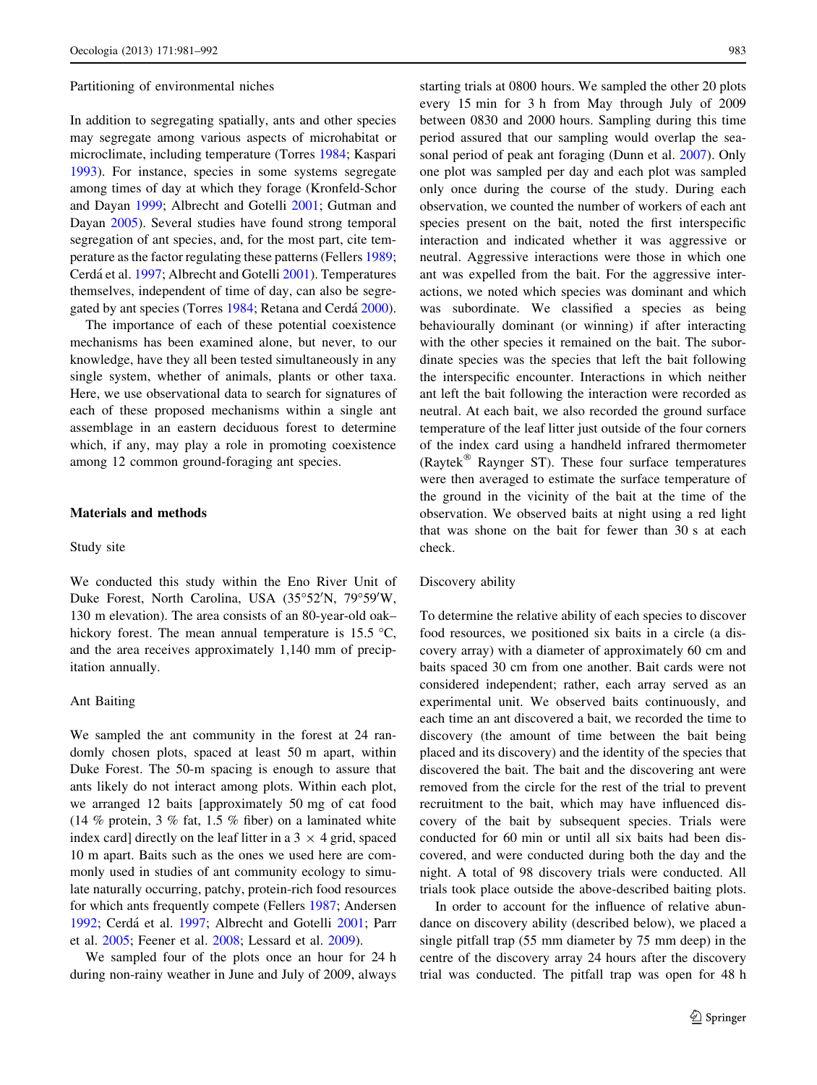#### Partitioning of environmental niches

In addition to segregating spatially, ants and other species may segregate among various aspects of microhabitat or microclimate, including temperature (Torres [1984;](#page-11-0) Kaspari [1993\)](#page-10-0). For instance, species in some systems segregate among times of day at which they forage (Kronfeld-Schor and Dayan [1999;](#page-10-0) Albrecht and Gotelli [2001;](#page-9-0) Gutman and Dayan [2005\)](#page-10-0). Several studies have found strong temporal segregation of ant species, and, for the most part, cite temperature as the factor regulating these patterns (Fellers [1989](#page-10-0); Cerdá et al. [1997;](#page-10-0) Albrecht and Gotelli [2001](#page-9-0)). Temperatures themselves, independent of time of day, can also be segre-gated by ant species (Torres [1984;](#page-11-0) Retana and Cerdá [2000](#page-10-0)).

The importance of each of these potential coexistence mechanisms has been examined alone, but never, to our knowledge, have they all been tested simultaneously in any single system, whether of animals, plants or other taxa. Here, we use observational data to search for signatures of each of these proposed mechanisms within a single ant assemblage in an eastern deciduous forest to determine which, if any, may play a role in promoting coexistence among 12 common ground-foraging ant species.

#### Materials and methods

#### Study site

We conducted this study within the Eno River Unit of Duke Forest, North Carolina, USA (35°52'N, 79°59'W, 130 m elevation). The area consists of an 80-year-old oak– hickory forest. The mean annual temperature is  $15.5 \text{ }^{\circ}\text{C}$ , and the area receives approximately 1,140 mm of precipitation annually.

# Ant Baiting

We sampled the ant community in the forest at 24 randomly chosen plots, spaced at least 50 m apart, within Duke Forest. The 50-m spacing is enough to assure that ants likely do not interact among plots. Within each plot, we arranged 12 baits [approximately 50 mg of cat food (14 % protein, 3 % fat, 1.5 % fiber) on a laminated white index card] directly on the leaf litter in a  $3 \times 4$  grid, spaced 10 m apart. Baits such as the ones we used here are commonly used in studies of ant community ecology to simulate naturally occurring, patchy, protein-rich food resources for which ants frequently compete (Fellers [1987](#page-10-0); Andersen [1992;](#page-9-0) Cerdá et al. [1997](#page-10-0); Albrecht and Gotelli [2001;](#page-9-0) Parr et al. [2005;](#page-10-0) Feener et al. [2008](#page-10-0); Lessard et al. [2009](#page-10-0)).

We sampled four of the plots once an hour for 24 h during non-rainy weather in June and July of 2009, always starting trials at 0800 hours. We sampled the other 20 plots every 15 min for 3 h from May through July of 2009 between 0830 and 2000 hours. Sampling during this time period assured that our sampling would overlap the seasonal period of peak ant foraging (Dunn et al. [2007\)](#page-10-0). Only one plot was sampled per day and each plot was sampled only once during the course of the study. During each observation, we counted the number of workers of each ant species present on the bait, noted the first interspecific interaction and indicated whether it was aggressive or neutral. Aggressive interactions were those in which one ant was expelled from the bait. For the aggressive interactions, we noted which species was dominant and which was subordinate. We classified a species as being behaviourally dominant (or winning) if after interacting with the other species it remained on the bait. The subordinate species was the species that left the bait following the interspecific encounter. Interactions in which neither ant left the bait following the interaction were recorded as neutral. At each bait, we also recorded the ground surface temperature of the leaf litter just outside of the four corners of the index card using a handheld infrared thermometer (Raytek $^{\circledR}$  Raynger ST). These four surface temperatures were then averaged to estimate the surface temperature of the ground in the vicinity of the bait at the time of the observation. We observed baits at night using a red light that was shone on the bait for fewer than 30 s at each check.

# Discovery ability

To determine the relative ability of each species to discover food resources, we positioned six baits in a circle (a discovery array) with a diameter of approximately 60 cm and baits spaced 30 cm from one another. Bait cards were not considered independent; rather, each array served as an experimental unit. We observed baits continuously, and each time an ant discovered a bait, we recorded the time to discovery (the amount of time between the bait being placed and its discovery) and the identity of the species that discovered the bait. The bait and the discovering ant were removed from the circle for the rest of the trial to prevent recruitment to the bait, which may have influenced discovery of the bait by subsequent species. Trials were conducted for 60 min or until all six baits had been discovered, and were conducted during both the day and the night. A total of 98 discovery trials were conducted. All trials took place outside the above-described baiting plots.

In order to account for the influence of relative abundance on discovery ability (described below), we placed a single pitfall trap (55 mm diameter by 75 mm deep) in the centre of the discovery array 24 hours after the discovery trial was conducted. The pitfall trap was open for 48 h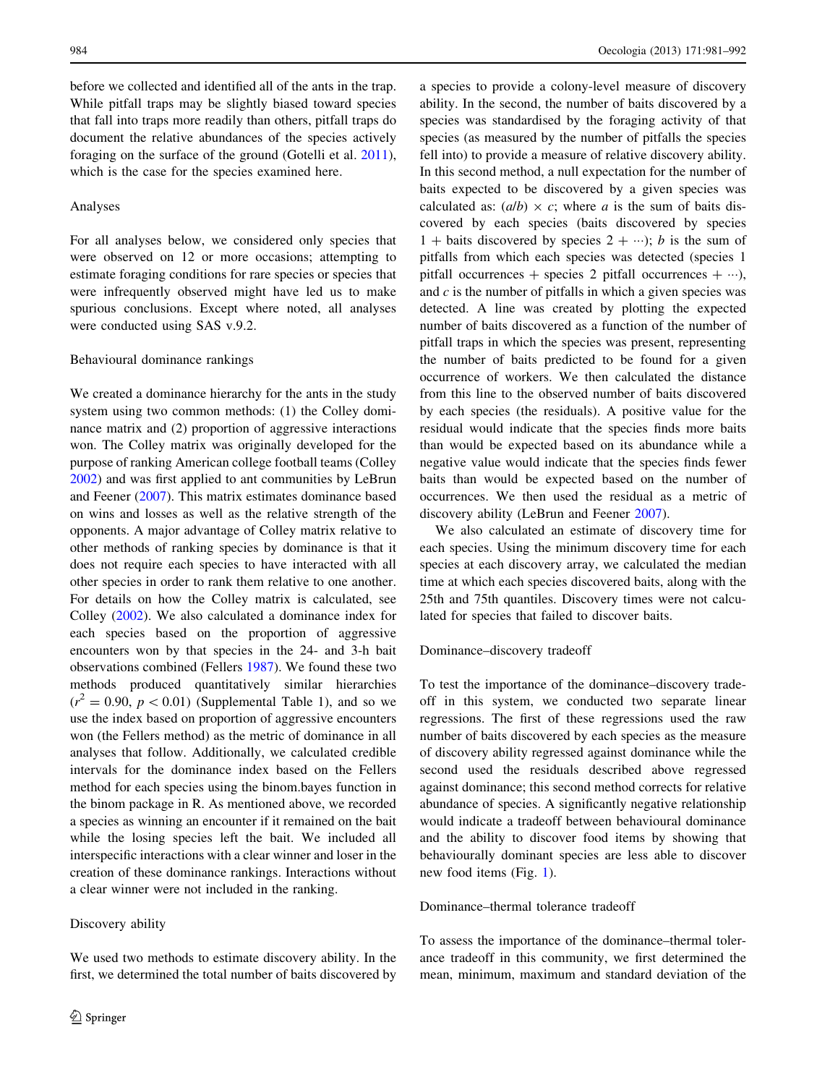before we collected and identified all of the ants in the trap. While pitfall traps may be slightly biased toward species that fall into traps more readily than others, pitfall traps do document the relative abundances of the species actively foraging on the surface of the ground (Gotelli et al. [2011](#page-10-0)), which is the case for the species examined here.

#### Analyses

For all analyses below, we considered only species that were observed on 12 or more occasions; attempting to estimate foraging conditions for rare species or species that were infrequently observed might have led us to make spurious conclusions. Except where noted, all analyses were conducted using SAS v.9.2.

#### Behavioural dominance rankings

We created a dominance hierarchy for the ants in the study system using two common methods: (1) the Colley dominance matrix and (2) proportion of aggressive interactions won. The Colley matrix was originally developed for the purpose of ranking American college football teams (Colley [2002\)](#page-10-0) and was first applied to ant communities by LeBrun and Feener ([2007](#page-10-0)). This matrix estimates dominance based on wins and losses as well as the relative strength of the opponents. A major advantage of Colley matrix relative to other methods of ranking species by dominance is that it does not require each species to have interacted with all other species in order to rank them relative to one another. For details on how the Colley matrix is calculated, see Colley ([2002\)](#page-10-0). We also calculated a dominance index for each species based on the proportion of aggressive encounters won by that species in the 24- and 3-h bait observations combined (Fellers [1987\)](#page-10-0). We found these two methods produced quantitatively similar hierarchies  $(r^2 = 0.90, p < 0.01)$  (Supplemental Table 1), and so we use the index based on proportion of aggressive encounters won (the Fellers method) as the metric of dominance in all analyses that follow. Additionally, we calculated credible intervals for the dominance index based on the Fellers method for each species using the binom.bayes function in the binom package in R. As mentioned above, we recorded a species as winning an encounter if it remained on the bait while the losing species left the bait. We included all interspecific interactions with a clear winner and loser in the creation of these dominance rankings. Interactions without a clear winner were not included in the ranking.

# Discovery ability

We used two methods to estimate discovery ability. In the first, we determined the total number of baits discovered by a species to provide a colony-level measure of discovery ability. In the second, the number of baits discovered by a species was standardised by the foraging activity of that species (as measured by the number of pitfalls the species fell into) to provide a measure of relative discovery ability. In this second method, a null expectation for the number of baits expected to be discovered by a given species was calculated as:  $(a/b) \times c$ ; where a is the sum of baits discovered by each species (baits discovered by species 1 + baits discovered by species  $2 + \cdots$ ; b is the sum of pitfalls from which each species was detected (species 1 pitfall occurrences + species 2 pitfall occurrences +  $\cdots$ ), and  $c$  is the number of pitfalls in which a given species was detected. A line was created by plotting the expected number of baits discovered as a function of the number of pitfall traps in which the species was present, representing the number of baits predicted to be found for a given occurrence of workers. We then calculated the distance from this line to the observed number of baits discovered by each species (the residuals). A positive value for the residual would indicate that the species finds more baits than would be expected based on its abundance while a negative value would indicate that the species finds fewer baits than would be expected based on the number of occurrences. We then used the residual as a metric of discovery ability (LeBrun and Feener [2007\)](#page-10-0).

We also calculated an estimate of discovery time for each species. Using the minimum discovery time for each species at each discovery array, we calculated the median time at which each species discovered baits, along with the 25th and 75th quantiles. Discovery times were not calculated for species that failed to discover baits.

# Dominance–discovery tradeoff

To test the importance of the dominance–discovery tradeoff in this system, we conducted two separate linear regressions. The first of these regressions used the raw number of baits discovered by each species as the measure of discovery ability regressed against dominance while the second used the residuals described above regressed against dominance; this second method corrects for relative abundance of species. A significantly negative relationship would indicate a tradeoff between behavioural dominance and the ability to discover food items by showing that behaviourally dominant species are less able to discover new food items (Fig. [1](#page-4-0)).

# Dominance–thermal tolerance tradeoff

To assess the importance of the dominance–thermal tolerance tradeoff in this community, we first determined the mean, minimum, maximum and standard deviation of the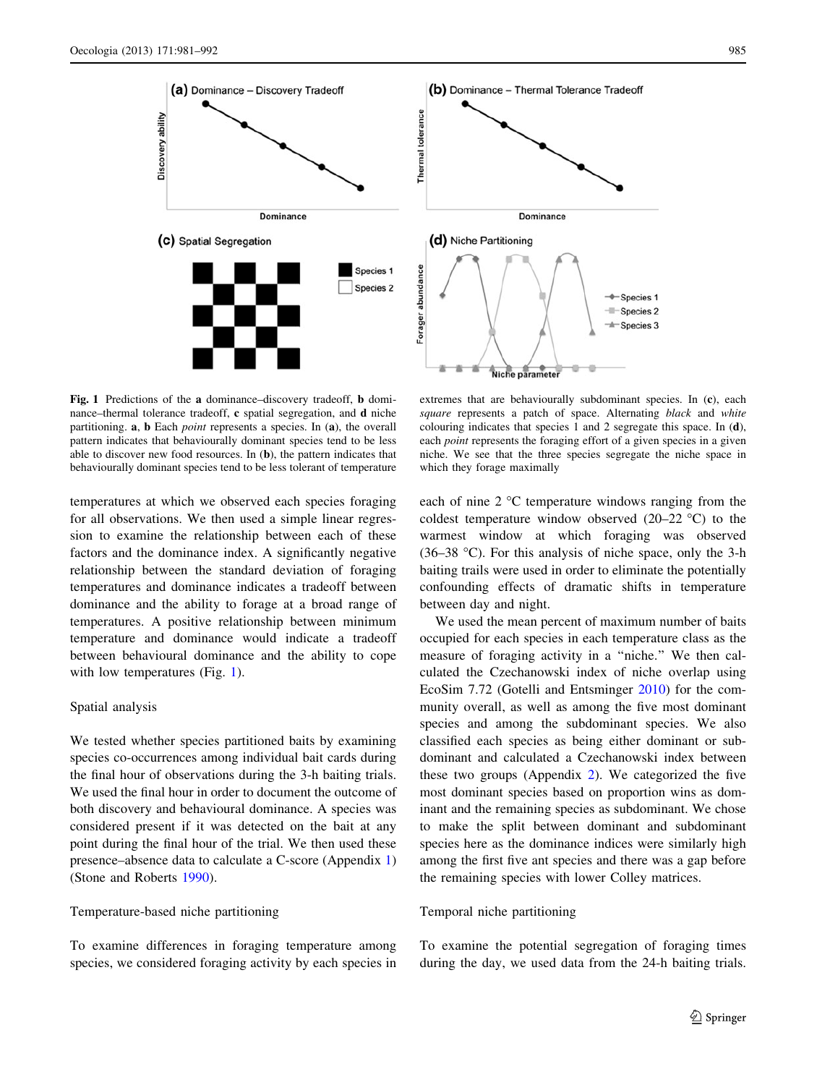<span id="page-4-0"></span>

Fig. 1 Predictions of the a dominance–discovery tradeoff, b dominance–thermal tolerance tradeoff, c spatial segregation, and d niche partitioning. a, b Each point represents a species. In (a), the overall pattern indicates that behaviourally dominant species tend to be less able to discover new food resources. In (b), the pattern indicates that behaviourally dominant species tend to be less tolerant of temperature

temperatures at which we observed each species foraging for all observations. We then used a simple linear regression to examine the relationship between each of these factors and the dominance index. A significantly negative relationship between the standard deviation of foraging temperatures and dominance indicates a tradeoff between dominance and the ability to forage at a broad range of temperatures. A positive relationship between minimum temperature and dominance would indicate a tradeoff between behavioural dominance and the ability to cope with low temperatures (Fig. 1).

#### Spatial analysis

We tested whether species partitioned baits by examining species co-occurrences among individual bait cards during the final hour of observations during the 3-h baiting trials. We used the final hour in order to document the outcome of both discovery and behavioural dominance. A species was considered present if it was detected on the bait at any point during the final hour of the trial. We then used these presence–absence data to calculate a C-score (Appendix 1) (Stone and Roberts [1990\)](#page-11-0).

# Temperature-based niche partitioning

To examine differences in foraging temperature among species, we considered foraging activity by each species in



extremes that are behaviourally subdominant species. In (c), each square represents a patch of space. Alternating black and white colouring indicates that species 1 and 2 segregate this space. In (d), each point represents the foraging effort of a given species in a given niche. We see that the three species segregate the niche space in which they forage maximally

each of nine  $2^{\circ}$ C temperature windows ranging from the coldest temperature window observed  $(20-22 \degree C)$  to the warmest window at which foraging was observed  $(36-38 \text{ °C})$ . For this analysis of niche space, only the 3-h baiting trails were used in order to eliminate the potentially confounding effects of dramatic shifts in temperature between day and night.

We used the mean percent of maximum number of baits occupied for each species in each temperature class as the measure of foraging activity in a ''niche.'' We then calculated the Czechanowski index of niche overlap using EcoSim 7.72 (Gotelli and Entsminger [2010](#page-10-0)) for the community overall, as well as among the five most dominant species and among the subdominant species. We also classified each species as being either dominant or subdominant and calculated a Czechanowski index between these two groups (Appendix 2). We categorized the five most dominant species based on proportion wins as dominant and the remaining species as subdominant. We chose to make the split between dominant and subdominant species here as the dominance indices were similarly high among the first five ant species and there was a gap before the remaining species with lower Colley matrices.

# Temporal niche partitioning

To examine the potential segregation of foraging times during the day, we used data from the 24-h baiting trials.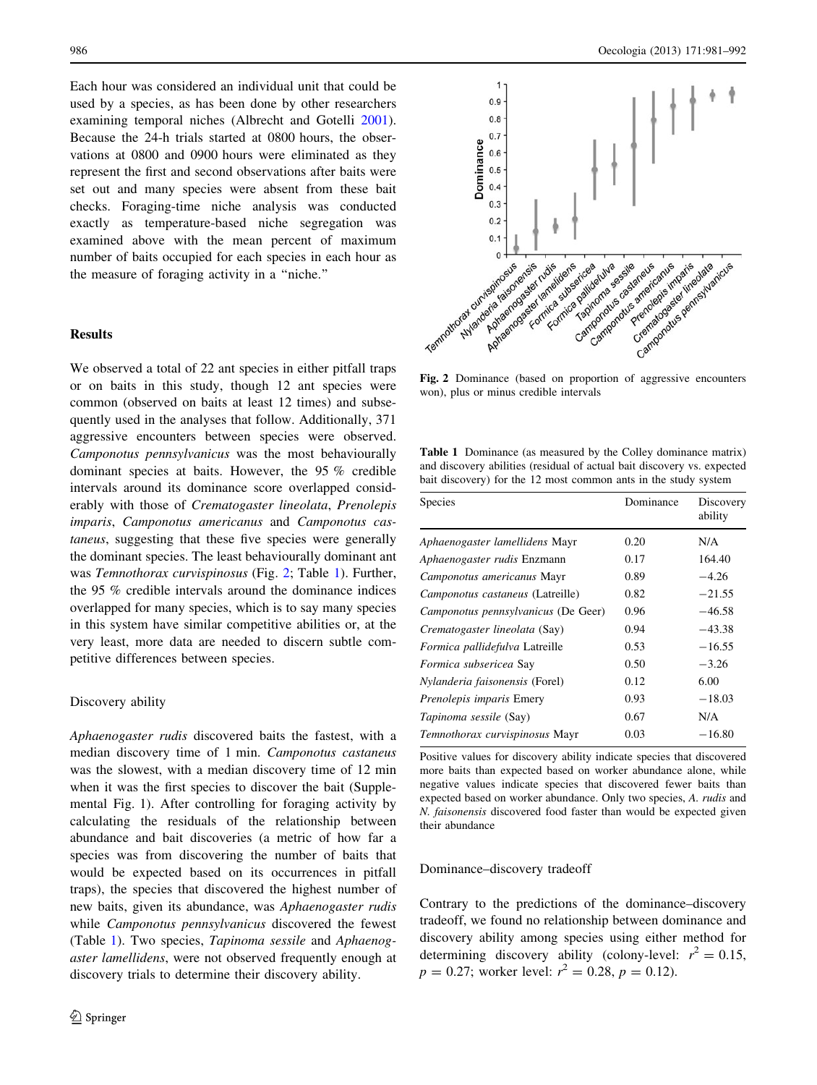Each hour was considered an individual unit that could be used by a species, as has been done by other researchers examining temporal niches (Albrecht and Gotelli [2001](#page-9-0)). Because the 24-h trials started at 0800 hours, the observations at 0800 and 0900 hours were eliminated as they represent the first and second observations after baits were set out and many species were absent from these bait checks. Foraging-time niche analysis was conducted exactly as temperature-based niche segregation was examined above with the mean percent of maximum number of baits occupied for each species in each hour as the measure of foraging activity in a ''niche.''

## Results

We observed a total of 22 ant species in either pitfall traps or on baits in this study, though 12 ant species were common (observed on baits at least 12 times) and subsequently used in the analyses that follow. Additionally, 371 aggressive encounters between species were observed. Camponotus pennsylvanicus was the most behaviourally dominant species at baits. However, the 95 % credible intervals around its dominance score overlapped considerably with those of Crematogaster lineolata, Prenolepis imparis, Camponotus americanus and Camponotus castaneus, suggesting that these five species were generally the dominant species. The least behaviourally dominant ant was Temnothorax curvispinosus (Fig. 2; Table 1). Further, the 95 % credible intervals around the dominance indices overlapped for many species, which is to say many species in this system have similar competitive abilities or, at the very least, more data are needed to discern subtle competitive differences between species.

# Discovery ability

Aphaenogaster rudis discovered baits the fastest, with a median discovery time of 1 min. Camponotus castaneus was the slowest, with a median discovery time of 12 min when it was the first species to discover the bait (Supplemental Fig. 1). After controlling for foraging activity by calculating the residuals of the relationship between abundance and bait discoveries (a metric of how far a species was from discovering the number of baits that would be expected based on its occurrences in pitfall traps), the species that discovered the highest number of new baits, given its abundance, was Aphaenogaster rudis while Camponotus pennsylvanicus discovered the fewest (Table 1). Two species, Tapinoma sessile and Aphaenogaster lamellidens, were not observed frequently enough at discovery trials to determine their discovery ability.



Fig. 2 Dominance (based on proportion of aggressive encounters won), plus or minus credible intervals

Table 1 Dominance (as measured by the Colley dominance matrix) and discovery abilities (residual of actual bait discovery vs. expected bait discovery) for the 12 most common ants in the study system

| Dominance<br><b>Species</b>           |      | Discovery<br>ability |  |
|---------------------------------------|------|----------------------|--|
| Aphaenogaster lamellidens Mayr        | 0.20 | N/A                  |  |
| Aphaenogaster rudis Enzmann           | 0.17 | 164.40               |  |
| Camponotus americanus Mayr            | 0.89 | $-4.26$              |  |
| Camponotus castaneus (Latreille)      | 0.82 | $-21.55$             |  |
| Camponotus pennsylvanicus (De Geer)   | 0.96 | $-46.58$             |  |
| Crematogaster lineolata (Say)         | 0.94 | $-43.38$             |  |
| Formica pallidefulva Latreille        | 0.53 | $-16.55$             |  |
| Formica subsericea Say                | 0.50 | $-3.26$              |  |
| <i>Nylanderia faisonensis</i> (Forel) | 0.12 | 6.00                 |  |
| <i>Prenolepis imparis</i> Emery       | 0.93 | $-18.03$             |  |
| <i>Tapinoma sessile</i> (Say)         | 0.67 | N/A                  |  |
| Temnothorax curvispinosus Mayr        | 0.03 | $-16.80$             |  |

Positive values for discovery ability indicate species that discovered more baits than expected based on worker abundance alone, while negative values indicate species that discovered fewer baits than expected based on worker abundance. Only two species, A. rudis and N. faisonensis discovered food faster than would be expected given their abundance

#### Dominance–discovery tradeoff

Contrary to the predictions of the dominance–discovery tradeoff, we found no relationship between dominance and discovery ability among species using either method for determining discovery ability (colony-level:  $r^2 = 0.15$ ,  $p = 0.27$ ; worker level:  $r^2 = 0.28$ ,  $p = 0.12$ ).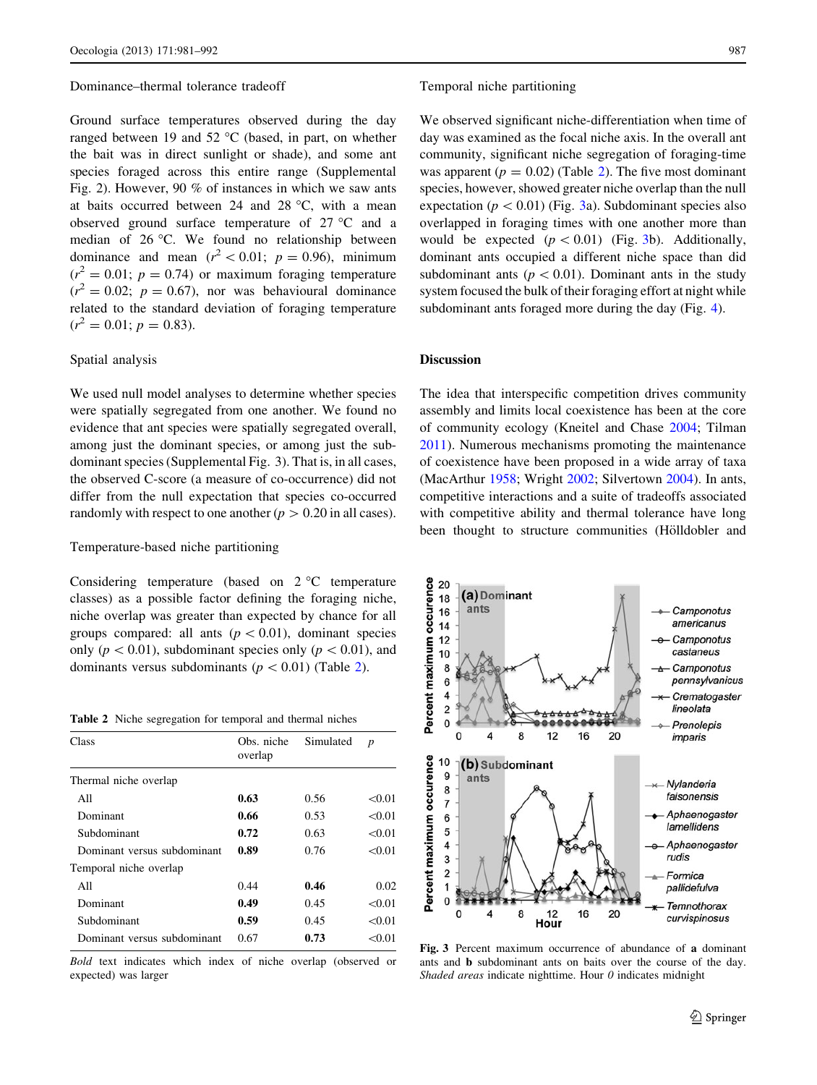#### Dominance–thermal tolerance tradeoff

Ground surface temperatures observed during the day ranged between 19 and 52  $\mathrm{^{\circ}C}$  (based, in part, on whether the bait was in direct sunlight or shade), and some ant species foraged across this entire range (Supplemental Fig. 2). However, 90 % of instances in which we saw ants at baits occurred between 24 and 28  $^{\circ}$ C, with a mean observed ground surface temperature of  $27 \degree C$  and a median of 26 °C. We found no relationship between dominance and mean  $(r^2 < 0.01; p = 0.96)$ , minimum  $(r^2 = 0.01; p = 0.74)$  or maximum foraging temperature  $(r^2 = 0.02; p = 0.67)$ , nor was behavioural dominance related to the standard deviation of foraging temperature  $(r^2 = 0.01; p = 0.83).$ 

#### Spatial analysis

We used null model analyses to determine whether species were spatially segregated from one another. We found no evidence that ant species were spatially segregated overall, among just the dominant species, or among just the subdominant species (Supplemental Fig. 3). That is, in all cases, the observed C-score (a measure of co-occurrence) did not differ from the null expectation that species co-occurred randomly with respect to one another  $(p > 0.20$  in all cases).

## Temperature-based niche partitioning

Considering temperature (based on  $2^{\circ}$ C temperature classes) as a possible factor defining the foraging niche, niche overlap was greater than expected by chance for all groups compared: all ants  $(p<0.01)$ , dominant species only ( $p\lt 0.01$ ), subdominant species only ( $p\lt 0.01$ ), and dominants versus subdominants ( $p < 0.01$ ) (Table 2).

Table 2 Niche segregation for temporal and thermal niches

| Class                       | Obs. niche<br>overlap | Simulated | $\boldsymbol{p}$ |
|-----------------------------|-----------------------|-----------|------------------|
| Thermal niche overlap       |                       |           |                  |
| All                         | 0.63                  | 0.56      | < 0.01           |
| Dominant                    | 0.66                  | 0.53      | < 0.01           |
| Subdominant                 | 0.72                  | 0.63      | < 0.01           |
| Dominant versus subdominant | 0.89                  | 0.76      | < 0.01           |
| Temporal niche overlap      |                       |           |                  |
| All                         | 0.44                  | 0.46      | 0.02             |
| Dominant                    | 0.49                  | 0.45      | < 0.01           |
| Subdominant                 | 0.59                  | 0.45      | < 0.01           |
| Dominant versus subdominant | 0.67                  | 0.73      | <0.01            |
|                             |                       |           |                  |

Bold text indicates which index of niche overlap (observed or expected) was larger

#### Temporal niche partitioning

We observed significant niche-differentiation when time of day was examined as the focal niche axis. In the overall ant community, significant niche segregation of foraging-time was apparent ( $p = 0.02$ ) (Table 2). The five most dominant species, however, showed greater niche overlap than the null expectation ( $p < 0.01$ ) (Fig. 3a). Subdominant species also overlapped in foraging times with one another more than would be expected  $(p < 0.01)$  (Fig. 3b). Additionally, dominant ants occupied a different niche space than did subdominant ants ( $p < 0.01$ ). Dominant ants in the study system focused the bulk of their foraging effort at night while subdominant ants foraged more during the day (Fig. [4](#page-7-0)).

# Discussion

The idea that interspecific competition drives community assembly and limits local coexistence has been at the core of community ecology (Kneitel and Chase [2004](#page-10-0); Tilman [2011](#page-11-0)). Numerous mechanisms promoting the maintenance of coexistence have been proposed in a wide array of taxa (MacArthur [1958;](#page-10-0) Wright [2002](#page-11-0); Silvertown [2004\)](#page-11-0). In ants, competitive interactions and a suite of tradeoffs associated with competitive ability and thermal tolerance have long been thought to structure communities (Hölldobler and



Fig. 3 Percent maximum occurrence of abundance of a dominant ants and b subdominant ants on baits over the course of the day. Shaded areas indicate nighttime. Hour  $\theta$  indicates midnight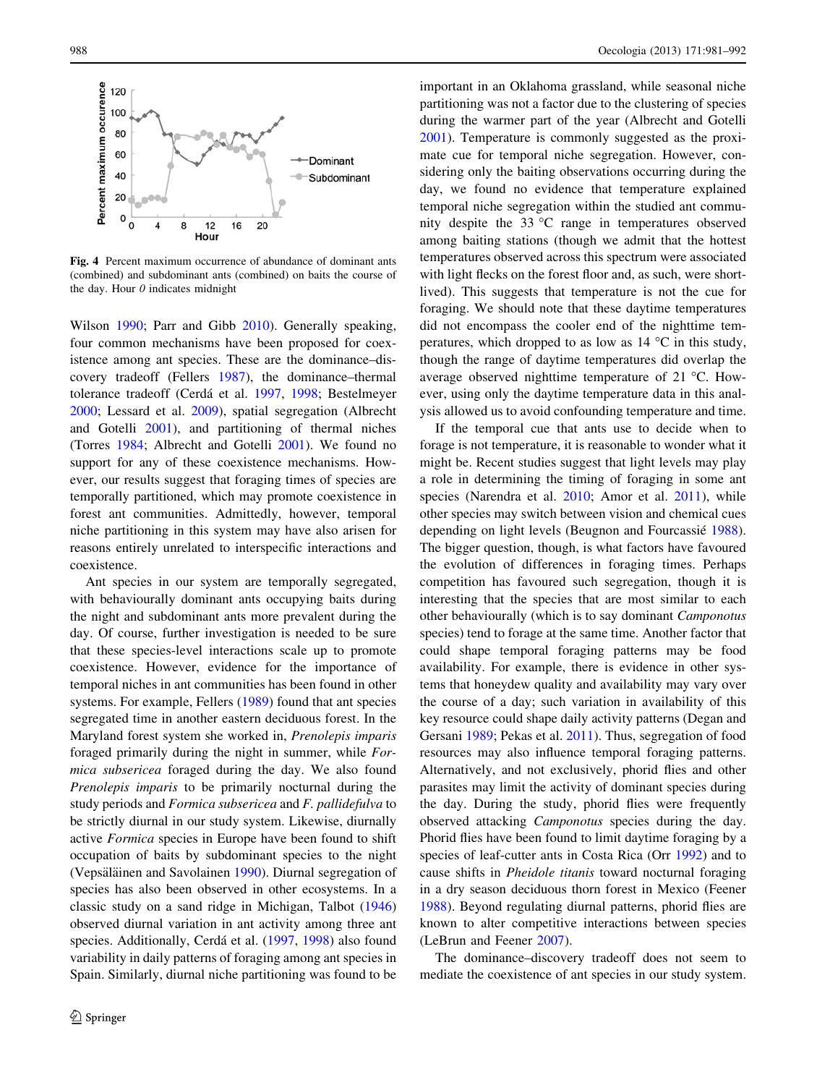<span id="page-7-0"></span>

Fig. 4 Percent maximum occurrence of abundance of dominant ants (combined) and subdominant ants (combined) on baits the course of the day. Hour  $\theta$  indicates midnight

Wilson [1990](#page-10-0); Parr and Gibb [2010\)](#page-10-0). Generally speaking, four common mechanisms have been proposed for coexistence among ant species. These are the dominance–discovery tradeoff (Fellers [1987](#page-10-0)), the dominance–thermal tolerance tradeoff (Cerdá et al. [1997](#page-10-0), [1998;](#page-10-0) Bestelmeyer [2000;](#page-9-0) Lessard et al. [2009](#page-10-0)), spatial segregation (Albrecht and Gotelli [2001\)](#page-9-0), and partitioning of thermal niches (Torres [1984;](#page-11-0) Albrecht and Gotelli [2001\)](#page-9-0). We found no support for any of these coexistence mechanisms. However, our results suggest that foraging times of species are temporally partitioned, which may promote coexistence in forest ant communities. Admittedly, however, temporal niche partitioning in this system may have also arisen for reasons entirely unrelated to interspecific interactions and coexistence.

Ant species in our system are temporally segregated, with behaviourally dominant ants occupying baits during the night and subdominant ants more prevalent during the day. Of course, further investigation is needed to be sure that these species-level interactions scale up to promote coexistence. However, evidence for the importance of temporal niches in ant communities has been found in other systems. For example, Fellers [\(1989](#page-10-0)) found that ant species segregated time in another eastern deciduous forest. In the Maryland forest system she worked in, Prenolepis imparis foraged primarily during the night in summer, while Formica subsericea foraged during the day. We also found Prenolepis imparis to be primarily nocturnal during the study periods and Formica subsericea and F. pallidefulva to be strictly diurnal in our study system. Likewise, diurnally active Formica species in Europe have been found to shift occupation of baits by subdominant species to the night (Vepsäläinen and Savolainen [1990](#page-11-0)). Diurnal segregation of species has also been observed in other ecosystems. In a classic study on a sand ridge in Michigan, Talbot ([1946\)](#page-11-0) observed diurnal variation in ant activity among three ant species. Additionally, Cerdá et al. ([1997,](#page-10-0) [1998](#page-10-0)) also found variability in daily patterns of foraging among ant species in Spain. Similarly, diurnal niche partitioning was found to be important in an Oklahoma grassland, while seasonal niche partitioning was not a factor due to the clustering of species during the warmer part of the year (Albrecht and Gotelli [2001](#page-9-0)). Temperature is commonly suggested as the proximate cue for temporal niche segregation. However, considering only the baiting observations occurring during the day, we found no evidence that temperature explained temporal niche segregation within the studied ant community despite the  $33 \text{ °C}$  range in temperatures observed among baiting stations (though we admit that the hottest temperatures observed across this spectrum were associated with light flecks on the forest floor and, as such, were shortlived). This suggests that temperature is not the cue for foraging. We should note that these daytime temperatures did not encompass the cooler end of the nighttime temperatures, which dropped to as low as  $14 \degree C$  in this study, though the range of daytime temperatures did overlap the average observed nighttime temperature of 21  $^{\circ}$ C. However, using only the daytime temperature data in this analysis allowed us to avoid confounding temperature and time.

If the temporal cue that ants use to decide when to forage is not temperature, it is reasonable to wonder what it might be. Recent studies suggest that light levels may play a role in determining the timing of foraging in some ant species (Narendra et al. [2010;](#page-10-0) Amor et al. [2011\)](#page-9-0), while other species may switch between vision and chemical cues depending on light levels (Beugnon and Fourcassié [1988](#page-9-0)). The bigger question, though, is what factors have favoured the evolution of differences in foraging times. Perhaps competition has favoured such segregation, though it is interesting that the species that are most similar to each other behaviourally (which is to say dominant Camponotus species) tend to forage at the same time. Another factor that could shape temporal foraging patterns may be food availability. For example, there is evidence in other systems that honeydew quality and availability may vary over the course of a day; such variation in availability of this key resource could shape daily activity patterns (Degan and Gersani [1989;](#page-10-0) Pekas et al. [2011](#page-10-0)). Thus, segregation of food resources may also influence temporal foraging patterns. Alternatively, and not exclusively, phorid flies and other parasites may limit the activity of dominant species during the day. During the study, phorid flies were frequently observed attacking Camponotus species during the day. Phorid flies have been found to limit daytime foraging by a species of leaf-cutter ants in Costa Rica (Orr [1992](#page-10-0)) and to cause shifts in Pheidole titanis toward nocturnal foraging in a dry season deciduous thorn forest in Mexico (Feener [1988](#page-10-0)). Beyond regulating diurnal patterns, phorid flies are known to alter competitive interactions between species (LeBrun and Feener [2007\)](#page-10-0).

The dominance–discovery tradeoff does not seem to mediate the coexistence of ant species in our study system.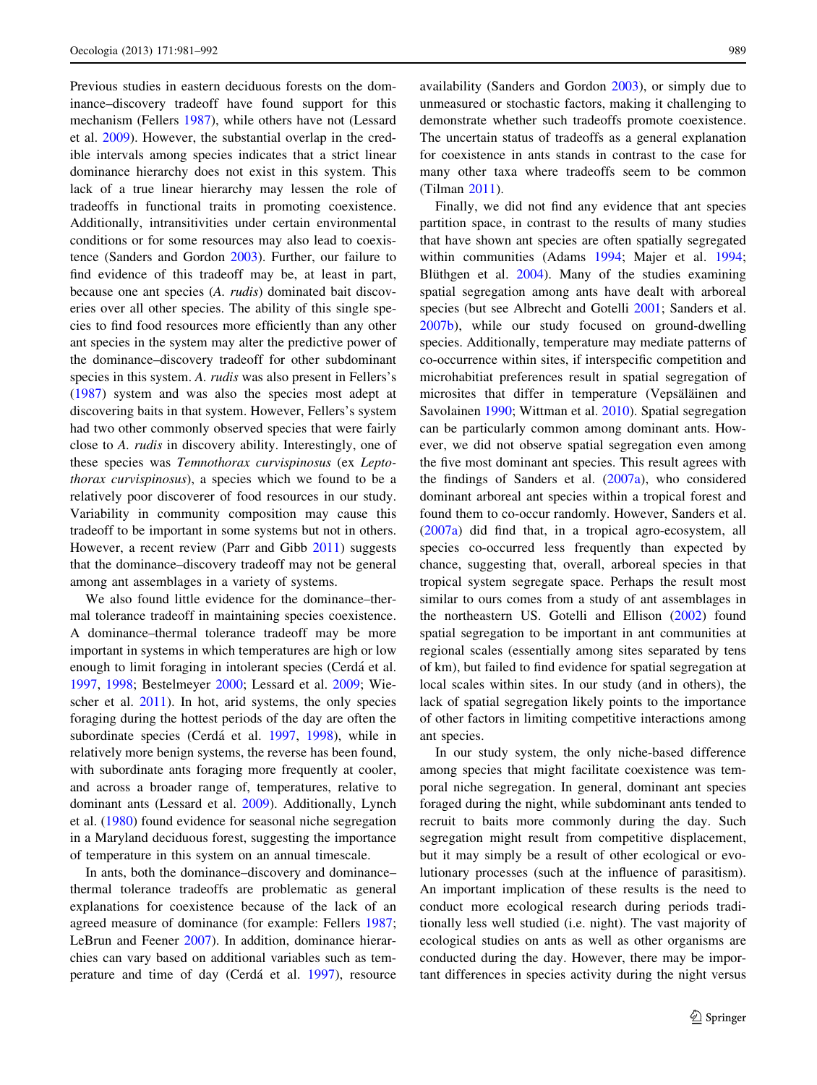Previous studies in eastern deciduous forests on the dominance–discovery tradeoff have found support for this mechanism (Fellers [1987\)](#page-10-0), while others have not (Lessard et al. [2009\)](#page-10-0). However, the substantial overlap in the credible intervals among species indicates that a strict linear dominance hierarchy does not exist in this system. This lack of a true linear hierarchy may lessen the role of tradeoffs in functional traits in promoting coexistence. Additionally, intransitivities under certain environmental conditions or for some resources may also lead to coexistence (Sanders and Gordon [2003](#page-11-0)). Further, our failure to find evidence of this tradeoff may be, at least in part, because one ant species (A. rudis) dominated bait discoveries over all other species. The ability of this single species to find food resources more efficiently than any other ant species in the system may alter the predictive power of the dominance–discovery tradeoff for other subdominant species in this system. A. rudis was also present in Fellers's [\(1987](#page-10-0)) system and was also the species most adept at discovering baits in that system. However, Fellers's system had two other commonly observed species that were fairly close to A. rudis in discovery ability. Interestingly, one of these species was Temnothorax curvispinosus (ex Leptothorax curvispinosus), a species which we found to be a relatively poor discoverer of food resources in our study. Variability in community composition may cause this tradeoff to be important in some systems but not in others. However, a recent review (Parr and Gibb [2011](#page-10-0)) suggests that the dominance–discovery tradeoff may not be general among ant assemblages in a variety of systems.

We also found little evidence for the dominance–thermal tolerance tradeoff in maintaining species coexistence. A dominance–thermal tolerance tradeoff may be more important in systems in which temperatures are high or low enough to limit foraging in intolerant species (Cerdá et al. [1997,](#page-10-0) [1998](#page-10-0); Bestelmeyer [2000](#page-9-0); Lessard et al. [2009;](#page-10-0) Wiescher et al. [2011\)](#page-11-0). In hot, arid systems, the only species foraging during the hottest periods of the day are often the subordinate species (Cerdá et al. [1997,](#page-10-0) [1998](#page-10-0)), while in relatively more benign systems, the reverse has been found, with subordinate ants foraging more frequently at cooler, and across a broader range of, temperatures, relative to dominant ants (Lessard et al. [2009\)](#page-10-0). Additionally, Lynch et al. ([1980\)](#page-10-0) found evidence for seasonal niche segregation in a Maryland deciduous forest, suggesting the importance of temperature in this system on an annual timescale.

In ants, both the dominance–discovery and dominance– thermal tolerance tradeoffs are problematic as general explanations for coexistence because of the lack of an agreed measure of dominance (for example: Fellers [1987](#page-10-0); LeBrun and Feener [2007](#page-10-0)). In addition, dominance hierarchies can vary based on additional variables such as tem-perature and time of day (Cerdá et al. [1997](#page-10-0)), resource availability (Sanders and Gordon [2003\)](#page-11-0), or simply due to unmeasured or stochastic factors, making it challenging to demonstrate whether such tradeoffs promote coexistence. The uncertain status of tradeoffs as a general explanation for coexistence in ants stands in contrast to the case for many other taxa where tradeoffs seem to be common (Tilman [2011\)](#page-11-0).

Finally, we did not find any evidence that ant species partition space, in contrast to the results of many studies that have shown ant species are often spatially segregated within communities (Adams [1994](#page-9-0); Majer et al. [1994](#page-10-0); Blüthgen et al. [2004\)](#page-9-0). Many of the studies examining spatial segregation among ants have dealt with arboreal species (but see Albrecht and Gotelli [2001](#page-9-0); Sanders et al. [2007b](#page-11-0)), while our study focused on ground-dwelling species. Additionally, temperature may mediate patterns of co-occurrence within sites, if interspecific competition and microhabitiat preferences result in spatial segregation of microsites that differ in temperature (Vepsäläinen and Savolainen [1990](#page-11-0); Wittman et al. [2010](#page-11-0)). Spatial segregation can be particularly common among dominant ants. However, we did not observe spatial segregation even among the five most dominant ant species. This result agrees with the findings of Sanders et al. ([2007a](#page-11-0)), who considered dominant arboreal ant species within a tropical forest and found them to co-occur randomly. However, Sanders et al. [\(2007a\)](#page-11-0) did find that, in a tropical agro-ecosystem, all species co-occurred less frequently than expected by chance, suggesting that, overall, arboreal species in that tropical system segregate space. Perhaps the result most similar to ours comes from a study of ant assemblages in the northeastern US. Gotelli and Ellison ([2002\)](#page-10-0) found spatial segregation to be important in ant communities at regional scales (essentially among sites separated by tens of km), but failed to find evidence for spatial segregation at local scales within sites. In our study (and in others), the lack of spatial segregation likely points to the importance of other factors in limiting competitive interactions among ant species.

In our study system, the only niche-based difference among species that might facilitate coexistence was temporal niche segregation. In general, dominant ant species foraged during the night, while subdominant ants tended to recruit to baits more commonly during the day. Such segregation might result from competitive displacement, but it may simply be a result of other ecological or evolutionary processes (such at the influence of parasitism). An important implication of these results is the need to conduct more ecological research during periods traditionally less well studied (i.e. night). The vast majority of ecological studies on ants as well as other organisms are conducted during the day. However, there may be important differences in species activity during the night versus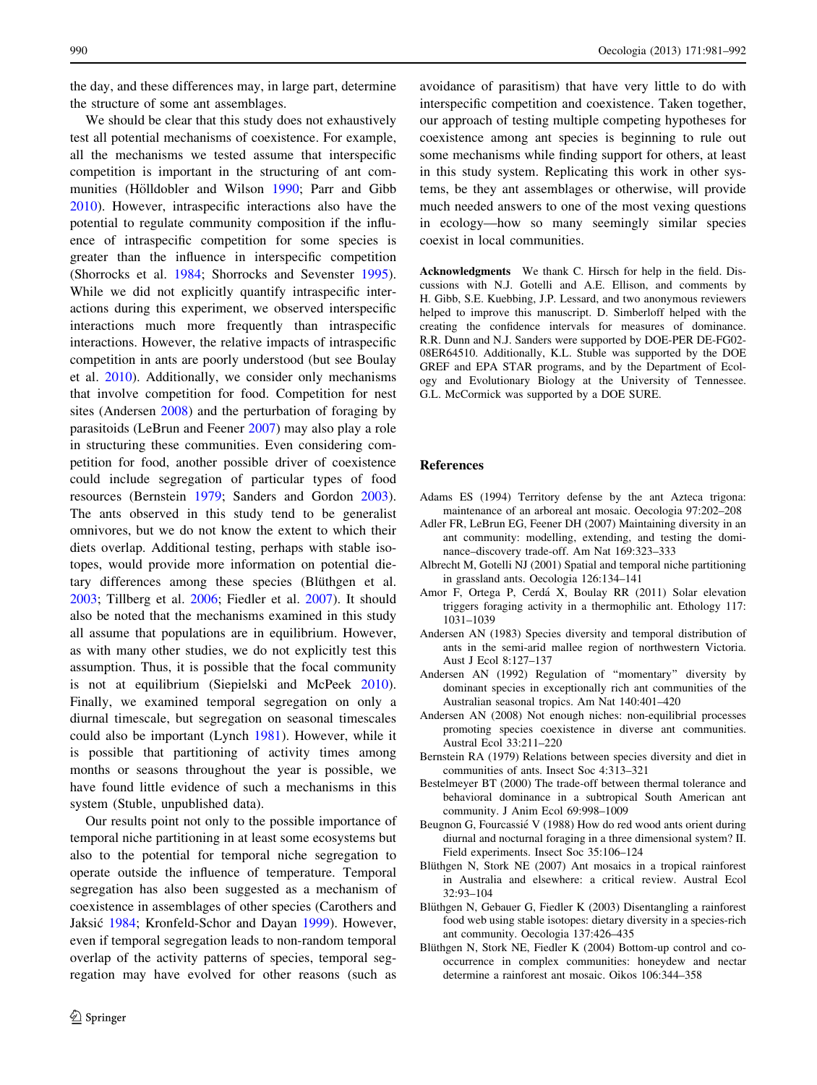<span id="page-9-0"></span>the day, and these differences may, in large part, determine the structure of some ant assemblages.

We should be clear that this study does not exhaustively test all potential mechanisms of coexistence. For example, all the mechanisms we tested assume that interspecific competition is important in the structuring of ant com-munities (Hölldobler and Wilson [1990](#page-10-0); Parr and Gibb [2010\)](#page-10-0). However, intraspecific interactions also have the potential to regulate community composition if the influence of intraspecific competition for some species is greater than the influence in interspecific competition (Shorrocks et al. [1984;](#page-11-0) Shorrocks and Sevenster [1995](#page-11-0)). While we did not explicitly quantify intraspecific interactions during this experiment, we observed interspecific interactions much more frequently than intraspecific interactions. However, the relative impacts of intraspecific competition in ants are poorly understood (but see Boulay et al. [2010](#page-10-0)). Additionally, we consider only mechanisms that involve competition for food. Competition for nest sites (Andersen 2008) and the perturbation of foraging by parasitoids (LeBrun and Feener [2007](#page-10-0)) may also play a role in structuring these communities. Even considering competition for food, another possible driver of coexistence could include segregation of particular types of food resources (Bernstein 1979; Sanders and Gordon [2003](#page-11-0)). The ants observed in this study tend to be generalist omnivores, but we do not know the extent to which their diets overlap. Additional testing, perhaps with stable isotopes, would provide more information on potential dietary differences among these species (Blüthgen et al. 2003; Tillberg et al. [2006;](#page-11-0) Fiedler et al. [2007\)](#page-10-0). It should also be noted that the mechanisms examined in this study all assume that populations are in equilibrium. However, as with many other studies, we do not explicitly test this assumption. Thus, it is possible that the focal community is not at equilibrium (Siepielski and McPeek [2010](#page-11-0)). Finally, we examined temporal segregation on only a diurnal timescale, but segregation on seasonal timescales could also be important (Lynch [1981](#page-10-0)). However, while it is possible that partitioning of activity times among months or seasons throughout the year is possible, we have found little evidence of such a mechanisms in this system (Stuble, unpublished data).

Our results point not only to the possible importance of temporal niche partitioning in at least some ecosystems but also to the potential for temporal niche segregation to operate outside the influence of temperature. Temporal segregation has also been suggested as a mechanism of coexistence in assemblages of other species (Carothers and Jaksić [1984](#page-10-0); Kronfeld-Schor and Dayan [1999](#page-10-0)). However, even if temporal segregation leads to non-random temporal overlap of the activity patterns of species, temporal segregation may have evolved for other reasons (such as

avoidance of parasitism) that have very little to do with interspecific competition and coexistence. Taken together, our approach of testing multiple competing hypotheses for coexistence among ant species is beginning to rule out some mechanisms while finding support for others, at least in this study system. Replicating this work in other systems, be they ant assemblages or otherwise, will provide much needed answers to one of the most vexing questions in ecology—how so many seemingly similar species coexist in local communities.

Acknowledgments We thank C. Hirsch for help in the field. Discussions with N.J. Gotelli and A.E. Ellison, and comments by H. Gibb, S.E. Kuebbing, J.P. Lessard, and two anonymous reviewers helped to improve this manuscript. D. Simberloff helped with the creating the confidence intervals for measures of dominance. R.R. Dunn and N.J. Sanders were supported by DOE-PER DE-FG02- 08ER64510. Additionally, K.L. Stuble was supported by the DOE GREF and EPA STAR programs, and by the Department of Ecology and Evolutionary Biology at the University of Tennessee. G.L. McCormick was supported by a DOE SURE.

#### References

- Adams ES (1994) Territory defense by the ant Azteca trigona: maintenance of an arboreal ant mosaic. Oecologia 97:202–208
- Adler FR, LeBrun EG, Feener DH (2007) Maintaining diversity in an ant community: modelling, extending, and testing the dominance–discovery trade-off. Am Nat 169:323–333
- Albrecht M, Gotelli NJ (2001) Spatial and temporal niche partitioning in grassland ants. Oecologia 126:134–141
- Amor F, Ortega P, Cerda´ X, Boulay RR (2011) Solar elevation triggers foraging activity in a thermophilic ant. Ethology 117: 1031–1039
- Andersen AN (1983) Species diversity and temporal distribution of ants in the semi-arid mallee region of northwestern Victoria. Aust J Ecol 8:127–137
- Andersen AN (1992) Regulation of ''momentary'' diversity by dominant species in exceptionally rich ant communities of the Australian seasonal tropics. Am Nat 140:401–420
- Andersen AN (2008) Not enough niches: non-equilibrial processes promoting species coexistence in diverse ant communities. Austral Ecol 33:211–220
- Bernstein RA (1979) Relations between species diversity and diet in communities of ants. Insect Soc 4:313–321
- Bestelmeyer BT (2000) The trade-off between thermal tolerance and behavioral dominance in a subtropical South American ant community. J Anim Ecol 69:998–1009
- Beugnon G, Fourcassié V (1988) How do red wood ants orient during diurnal and nocturnal foraging in a three dimensional system? II. Field experiments. Insect Soc 35:106–124
- Blüthgen N, Stork NE (2007) Ant mosaics in a tropical rainforest in Australia and elsewhere: a critical review. Austral Ecol 32:93–104
- Blüthgen N, Gebauer G, Fiedler K (2003) Disentangling a rainforest food web using stable isotopes: dietary diversity in a species-rich ant community. Oecologia 137:426–435
- Blüthgen N, Stork NE, Fiedler K (2004) Bottom-up control and cooccurrence in complex communities: honeydew and nectar determine a rainforest ant mosaic. Oikos 106:344–358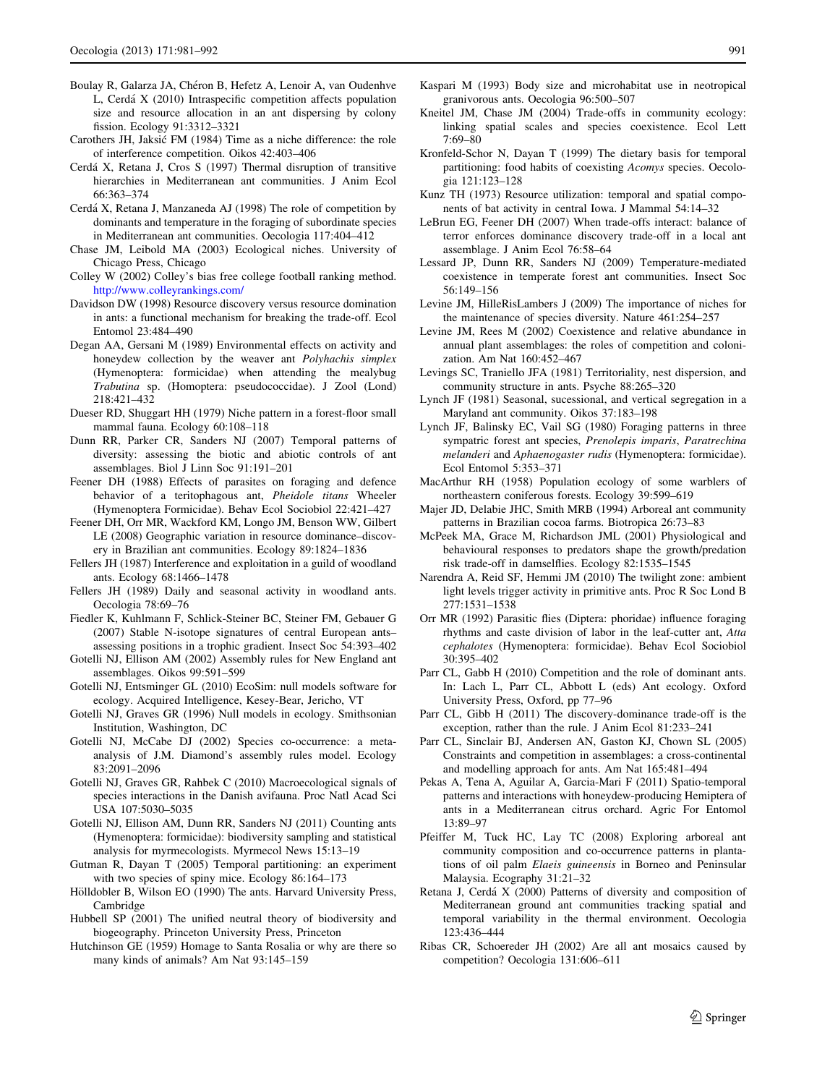- <span id="page-10-0"></span>Boulay R, Galarza JA, Chéron B, Hefetz A, Lenoir A, van Oudenhve L, Cerda´ X (2010) Intraspecific competition affects population size and resource allocation in an ant dispersing by colony fission. Ecology 91:3312–3321
- Carothers JH, Jaksic´ FM (1984) Time as a niche difference: the role of interference competition. Oikos 42:403–406
- Cerda´ X, Retana J, Cros S (1997) Thermal disruption of transitive hierarchies in Mediterranean ant communities. J Anim Ecol 66:363–374
- Cerdá X, Retana J, Manzaneda AJ (1998) The role of competition by dominants and temperature in the foraging of subordinate species in Mediterranean ant communities. Oecologia 117:404–412
- Chase JM, Leibold MA (2003) Ecological niches. University of Chicago Press, Chicago
- Colley W (2002) Colley's bias free college football ranking method. <http://www.colleyrankings.com/>
- Davidson DW (1998) Resource discovery versus resource domination in ants: a functional mechanism for breaking the trade-off. Ecol Entomol 23:484–490
- Degan AA, Gersani M (1989) Environmental effects on activity and honeydew collection by the weaver ant Polyhachis simplex (Hymenoptera: formicidae) when attending the mealybug Trabutina sp. (Homoptera: pseudococcidae). J Zool (Lond) 218:421–432
- Dueser RD, Shuggart HH (1979) Niche pattern in a forest-floor small mammal fauna. Ecology 60:108–118
- Dunn RR, Parker CR, Sanders NJ (2007) Temporal patterns of diversity: assessing the biotic and abiotic controls of ant assemblages. Biol J Linn Soc 91:191–201
- Feener DH (1988) Effects of parasites on foraging and defence behavior of a teritophagous ant, Pheidole titans Wheeler (Hymenoptera Formicidae). Behav Ecol Sociobiol 22:421–427
- Feener DH, Orr MR, Wackford KM, Longo JM, Benson WW, Gilbert LE (2008) Geographic variation in resource dominance–discovery in Brazilian ant communities. Ecology 89:1824–1836
- Fellers JH (1987) Interference and exploitation in a guild of woodland ants. Ecology 68:1466–1478
- Fellers JH (1989) Daily and seasonal activity in woodland ants. Oecologia 78:69–76
- Fiedler K, Kuhlmann F, Schlick-Steiner BC, Steiner FM, Gebauer G (2007) Stable N-isotope signatures of central European ants– assessing positions in a trophic gradient. Insect Soc 54:393–402
- Gotelli NJ, Ellison AM (2002) Assembly rules for New England ant assemblages. Oikos 99:591–599
- Gotelli NJ, Entsminger GL (2010) EcoSim: null models software for ecology. Acquired Intelligence, Kesey-Bear, Jericho, VT
- Gotelli NJ, Graves GR (1996) Null models in ecology. Smithsonian Institution, Washington, DC
- Gotelli NJ, McCabe DJ (2002) Species co-occurrence: a metaanalysis of J.M. Diamond's assembly rules model. Ecology 83:2091–2096
- Gotelli NJ, Graves GR, Rahbek C (2010) Macroecological signals of species interactions in the Danish avifauna. Proc Natl Acad Sci USA 107:5030–5035
- Gotelli NJ, Ellison AM, Dunn RR, Sanders NJ (2011) Counting ants (Hymenoptera: formicidae): biodiversity sampling and statistical analysis for myrmecologists. Myrmecol News 15:13–19
- Gutman R, Dayan T (2005) Temporal partitioning: an experiment with two species of spiny mice. Ecology 86:164–173
- Hölldobler B, Wilson EO (1990) The ants. Harvard University Press, Cambridge
- Hubbell SP (2001) The unified neutral theory of biodiversity and biogeography. Princeton University Press, Princeton
- Hutchinson GE (1959) Homage to Santa Rosalia or why are there so many kinds of animals? Am Nat 93:145–159
- Kaspari M (1993) Body size and microhabitat use in neotropical granivorous ants. Oecologia 96:500–507
- Kneitel JM, Chase JM (2004) Trade-offs in community ecology: linking spatial scales and species coexistence. Ecol Lett 7:69–80
- Kronfeld-Schor N, Dayan T (1999) The dietary basis for temporal partitioning: food habits of coexisting Acomys species. Oecologia 121:123–128
- Kunz TH (1973) Resource utilization: temporal and spatial components of bat activity in central Iowa. J Mammal 54:14–32
- LeBrun EG, Feener DH (2007) When trade-offs interact: balance of terror enforces dominance discovery trade-off in a local ant assemblage. J Anim Ecol 76:58–64
- Lessard JP, Dunn RR, Sanders NJ (2009) Temperature-mediated coexistence in temperate forest ant communities. Insect Soc 56:149–156
- Levine JM, HilleRisLambers J (2009) The importance of niches for the maintenance of species diversity. Nature 461:254–257
- Levine JM, Rees M (2002) Coexistence and relative abundance in annual plant assemblages: the roles of competition and colonization. Am Nat 160:452–467
- Levings SC, Traniello JFA (1981) Territoriality, nest dispersion, and community structure in ants. Psyche 88:265–320
- Lynch JF (1981) Seasonal, sucessional, and vertical segregation in a Maryland ant community. Oikos 37:183–198
- Lynch JF, Balinsky EC, Vail SG (1980) Foraging patterns in three sympatric forest ant species, Prenolepis imparis, Paratrechina melanderi and Aphaenogaster rudis (Hymenoptera: formicidae). Ecol Entomol 5:353–371
- MacArthur RH (1958) Population ecology of some warblers of northeastern coniferous forests. Ecology 39:599–619
- Majer JD, Delabie JHC, Smith MRB (1994) Arboreal ant community patterns in Brazilian cocoa farms. Biotropica 26:73–83
- McPeek MA, Grace M, Richardson JML (2001) Physiological and behavioural responses to predators shape the growth/predation risk trade-off in damselflies. Ecology 82:1535–1545
- Narendra A, Reid SF, Hemmi JM (2010) The twilight zone: ambient light levels trigger activity in primitive ants. Proc R Soc Lond B 277:1531–1538
- Orr MR (1992) Parasitic flies (Diptera: phoridae) influence foraging rhythms and caste division of labor in the leaf-cutter ant, Atta cephalotes (Hymenoptera: formicidae). Behav Ecol Sociobiol 30:395–402
- Parr CL, Gabb H (2010) Competition and the role of dominant ants. In: Lach L, Parr CL, Abbott L (eds) Ant ecology. Oxford University Press, Oxford, pp 77–96
- Parr CL, Gibb H (2011) The discovery-dominance trade-off is the exception, rather than the rule. J Anim Ecol 81:233–241
- Parr CL, Sinclair BJ, Andersen AN, Gaston KJ, Chown SL (2005) Constraints and competition in assemblages: a cross-continental and modelling approach for ants. Am Nat 165:481–494
- Pekas A, Tena A, Aguilar A, Garcia-Mari F (2011) Spatio-temporal patterns and interactions with honeydew-producing Hemiptera of ants in a Mediterranean citrus orchard. Agric For Entomol 13:89–97
- Pfeiffer M, Tuck HC, Lay TC (2008) Exploring arboreal ant community composition and co-occurrence patterns in plantations of oil palm Elaeis guineensis in Borneo and Peninsular Malaysia. Ecography 31:21–32
- Retana J, Cerdá X (2000) Patterns of diversity and composition of Mediterranean ground ant communities tracking spatial and temporal variability in the thermal environment. Oecologia 123:436–444
- Ribas CR, Schoereder JH (2002) Are all ant mosaics caused by competition? Oecologia 131:606–611